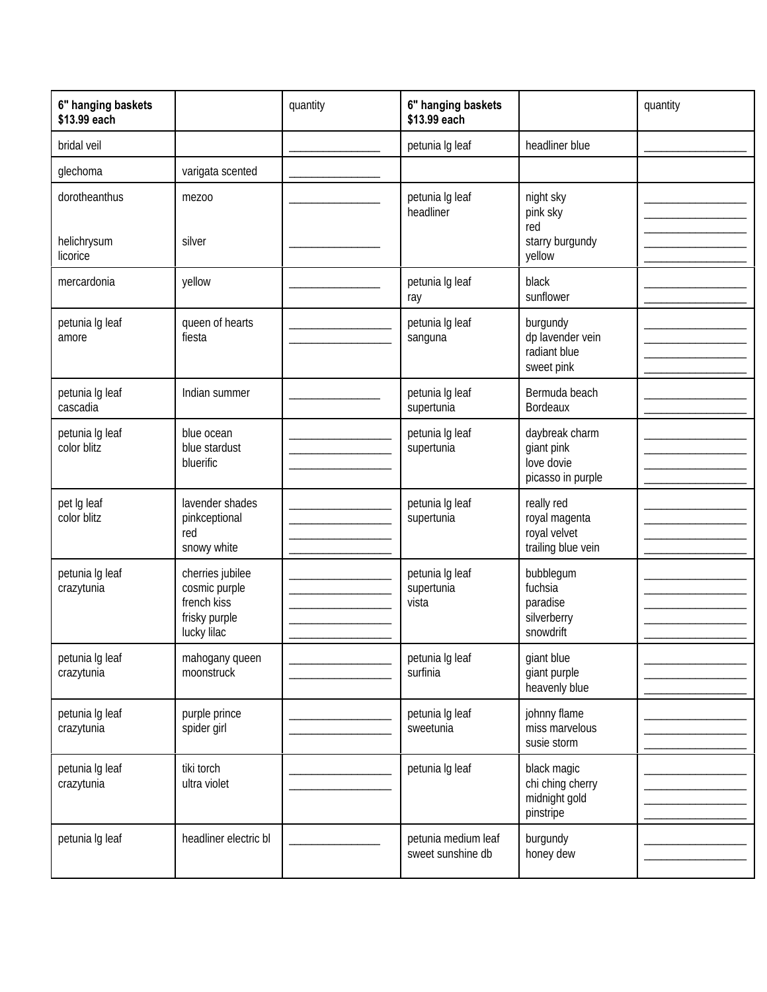| 6" hanging baskets<br>\$13.99 each       |                                                                                  | quantity | 6" hanging baskets<br>\$13.99 each       |                                                                   | quantity |
|------------------------------------------|----------------------------------------------------------------------------------|----------|------------------------------------------|-------------------------------------------------------------------|----------|
| bridal veil                              |                                                                                  |          | petunia Ig leaf                          | headliner blue                                                    |          |
| glechoma                                 | varigata scented                                                                 |          |                                          |                                                                   |          |
| dorotheanthus<br>helichrysum<br>licorice | mezoo<br>silver                                                                  |          | petunia Ig leaf<br>headliner             | night sky<br>pink sky<br>red<br>starry burgundy<br>yellow         |          |
| mercardonia                              | yellow                                                                           |          | petunia Ig leaf<br>ray                   | black<br>sunflower                                                |          |
| petunia Ig leaf<br>amore                 | queen of hearts<br>fiesta                                                        |          | petunia Ig leaf<br>sanguna               | burgundy<br>dp lavender vein<br>radiant blue<br>sweet pink        |          |
| petunia Ig leaf<br>cascadia              | Indian summer                                                                    |          | petunia Ig leaf<br>supertunia            | Bermuda beach<br>Bordeaux                                         |          |
| petunia Ig leaf<br>color blitz           | blue ocean<br>blue stardust<br>bluerific                                         |          | petunia Ig leaf<br>supertunia            | daybreak charm<br>giant pink<br>love dovie<br>picasso in purple   |          |
| pet Ig leaf<br>color blitz               | lavender shades<br>pinkceptional<br>red<br>snowy white                           |          | petunia Ig leaf<br>supertunia            | really red<br>royal magenta<br>royal velvet<br>trailing blue vein |          |
| petunia Ig leaf<br>crazytunia            | cherries jubilee<br>cosmic purple<br>french kiss<br>frisky purple<br>lucky lilac |          | petunia Ig leaf<br>supertunia<br>vista   | bubblegum<br>fuchsia<br>paradise<br>silverberry<br>snowdrift      |          |
| petunia Ig leaf<br>crazytunia            | mahogany queen<br>moonstruck                                                     |          | petunia Ig leaf<br>surfinia              | giant blue<br>giant purple<br>heavenly blue                       |          |
| petunia Ig leaf<br>crazytunia            | purple prince<br>spider girl                                                     |          | petunia Ig leaf<br>sweetunia             | johnny flame<br>miss marvelous<br>susie storm                     |          |
| petunia Ig leaf<br>crazytunia            | tiki torch<br>ultra violet                                                       |          | petunia Ig leaf                          | black magic<br>chi ching cherry<br>midnight gold<br>pinstripe     |          |
| petunia Ig leaf                          | headliner electric bl                                                            |          | petunia medium leaf<br>sweet sunshine db | burgundy<br>honey dew                                             |          |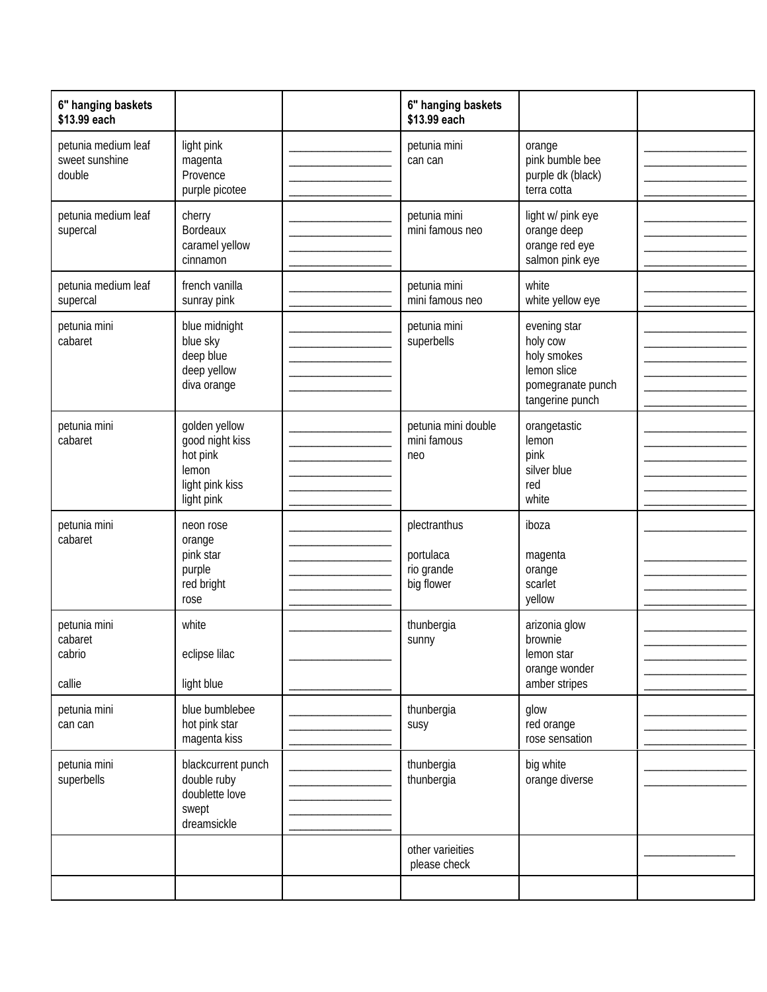| 6" hanging baskets<br>\$13.99 each              |                                                                                        | 6" hanging baskets<br>\$13.99 each                    |                                                                                                |  |
|-------------------------------------------------|----------------------------------------------------------------------------------------|-------------------------------------------------------|------------------------------------------------------------------------------------------------|--|
| petunia medium leaf<br>sweet sunshine<br>double | light pink<br>magenta<br>Provence<br>purple picotee                                    | petunia mini<br>can can                               | orange<br>pink bumble bee<br>purple dk (black)<br>terra cotta                                  |  |
| petunia medium leaf<br>supercal                 | cherry<br><b>Bordeaux</b><br>caramel yellow<br>cinnamon                                | petunia mini<br>mini famous neo                       | light w/ pink eye<br>orange deep<br>orange red eye<br>salmon pink eye                          |  |
| petunia medium leaf<br>supercal                 | french vanilla<br>sunray pink                                                          | petunia mini<br>mini famous neo                       | white<br>white yellow eye                                                                      |  |
| petunia mini<br>cabaret                         | blue midnight<br>blue sky<br>deep blue<br>deep yellow<br>diva orange                   | petunia mini<br>superbells                            | evening star<br>holy cow<br>holy smokes<br>lemon slice<br>pomegranate punch<br>tangerine punch |  |
| petunia mini<br>cabaret                         | golden yellow<br>good night kiss<br>hot pink<br>lemon<br>light pink kiss<br>light pink | petunia mini double<br>mini famous<br>neo             | orangetastic<br>lemon<br>pink<br>silver blue<br>red<br>white                                   |  |
| petunia mini<br>cabaret                         | neon rose<br>orange<br>pink star<br>purple<br>red bright<br>rose                       | plectranthus<br>portulaca<br>rio grande<br>big flower | iboza<br>magenta<br>orange<br>scarlet<br>yellow                                                |  |
| petunia mini<br>cabaret<br>cabrio<br>callie     | white<br>eclipse lilac<br>light blue                                                   | thunbergia<br>sunny                                   | arizonia glow<br>brownie<br>lemon star<br>orange wonder<br>amber stripes                       |  |
| petunia mini<br>can can                         | blue bumblebee<br>hot pink star<br>magenta kiss                                        | thunbergia<br>susy                                    | glow<br>red orange<br>rose sensation                                                           |  |
| petunia mini<br>superbells                      | blackcurrent punch<br>double ruby<br>doublette love<br>swept<br>dreamsickle            | thunbergia<br>thunbergia                              | big white<br>orange diverse                                                                    |  |
|                                                 |                                                                                        | other varieities<br>please check                      |                                                                                                |  |
|                                                 |                                                                                        |                                                       |                                                                                                |  |